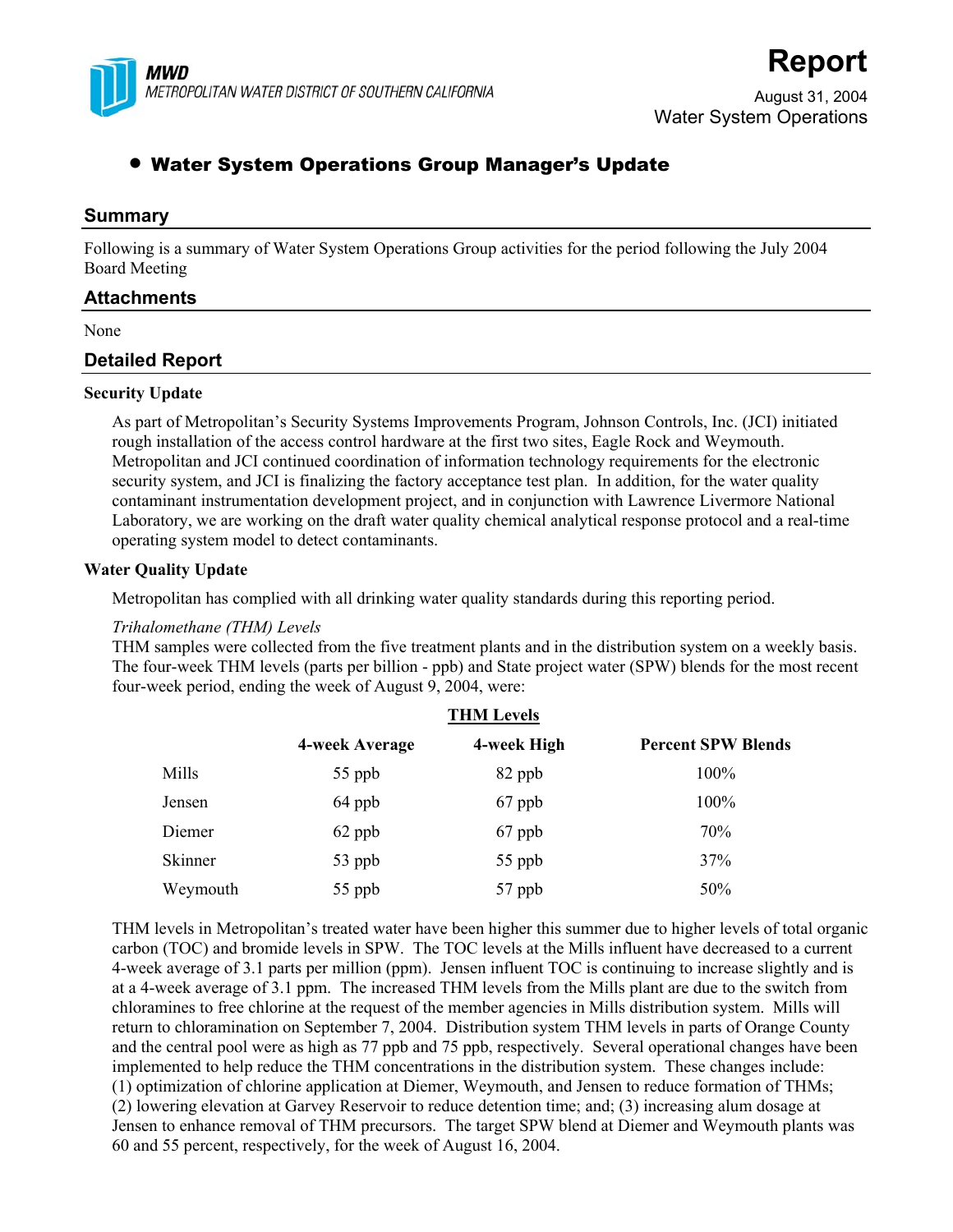

# **Report**

August 31, 2004 Water System Operations

# • Water System Operations Group Manager's Update

# **Summary**

Following is a summary of Water System Operations Group activities for the period following the July 2004 Board Meeting

# **Attachments**

None

# **Detailed Report**

#### **Security Update**

As part of Metropolitan's Security Systems Improvements Program, Johnson Controls, Inc. (JCI) initiated rough installation of the access control hardware at the first two sites, Eagle Rock and Weymouth. Metropolitan and JCI continued coordination of information technology requirements for the electronic security system, and JCI is finalizing the factory acceptance test plan. In addition, for the water quality contaminant instrumentation development project, and in conjunction with Lawrence Livermore National Laboratory, we are working on the draft water quality chemical analytical response protocol and a real-time operating system model to detect contaminants.

### **Water Quality Update**

Metropolitan has complied with all drinking water quality standards during this reporting period.

#### *Trihalomethane (THM) Levels*

THM samples were collected from the five treatment plants and in the distribution system on a weekly basis. The four-week THM levels (parts per billion - ppb) and State project water (SPW) blends for the most recent four-week period, ending the week of August 9, 2004, were:

|          | <b>THM Levels</b> |             |                           |  |
|----------|-------------------|-------------|---------------------------|--|
|          | 4-week Average    | 4-week High | <b>Percent SPW Blends</b> |  |
| Mills    | 55 ppb            | 82 ppb      | 100%                      |  |
| Jensen   | 64 ppb            | 67 ppb      | 100%                      |  |
| Diemer   | 62 ppb            | 67 ppb      | 70%                       |  |
| Skinner  | 53 ppb            | 55 ppb      | 37%                       |  |
| Weymouth | 55 ppb            | 57 ppb      | 50%                       |  |

THM levels in Metropolitan's treated water have been higher this summer due to higher levels of total organic carbon (TOC) and bromide levels in SPW. The TOC levels at the Mills influent have decreased to a current 4-week average of 3.1 parts per million (ppm). Jensen influent TOC is continuing to increase slightly and is at a 4-week average of 3.1 ppm. The increased THM levels from the Mills plant are due to the switch from chloramines to free chlorine at the request of the member agencies in Mills distribution system. Mills will return to chloramination on September 7, 2004. Distribution system THM levels in parts of Orange County and the central pool were as high as 77 ppb and 75 ppb, respectively. Several operational changes have been implemented to help reduce the THM concentrations in the distribution system. These changes include: (1) optimization of chlorine application at Diemer, Weymouth, and Jensen to reduce formation of THMs; (2) lowering elevation at Garvey Reservoir to reduce detention time; and; (3) increasing alum dosage at Jensen to enhance removal of THM precursors. The target SPW blend at Diemer and Weymouth plants was 60 and 55 percent, respectively, for the week of August 16, 2004.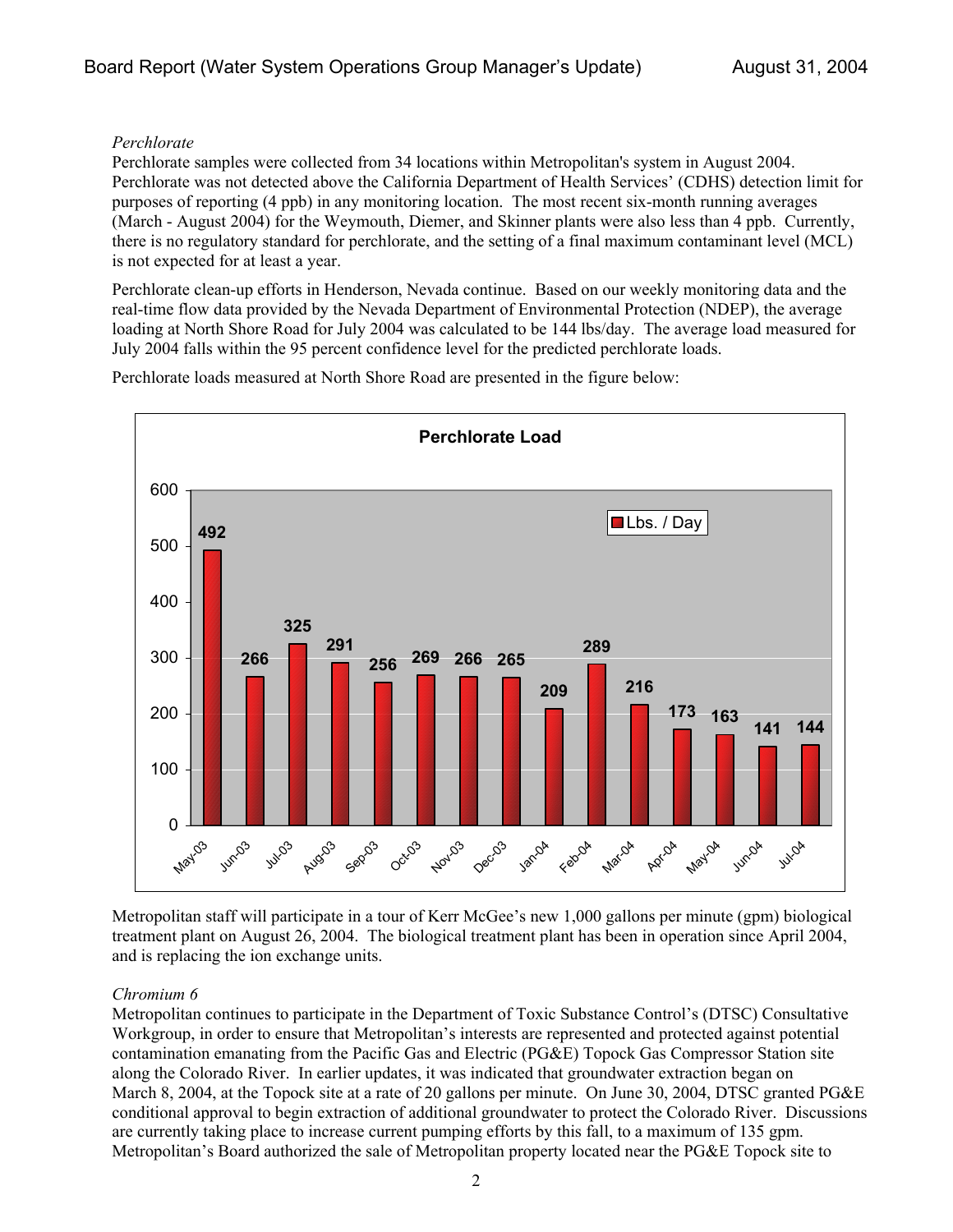# *Perchlorate*

Perchlorate samples were collected from 34 locations within Metropolitan's system in August 2004. Perchlorate was not detected above the California Department of Health Services' (CDHS) detection limit for purposes of reporting (4 ppb) in any monitoring location. The most recent six-month running averages (March - August 2004) for the Weymouth, Diemer, and Skinner plants were also less than 4 ppb. Currently, there is no regulatory standard for perchlorate, and the setting of a final maximum contaminant level (MCL) is not expected for at least a year.

Perchlorate clean-up efforts in Henderson, Nevada continue. Based on our weekly monitoring data and the real-time flow data provided by the Nevada Department of Environmental Protection (NDEP), the average loading at North Shore Road for July 2004 was calculated to be 144 lbs/day. The average load measured for July 2004 falls within the 95 percent confidence level for the predicted perchlorate loads.

Perchlorate loads measured at North Shore Road are presented in the figure below:



Metropolitan staff will participate in a tour of Kerr McGee's new 1,000 gallons per minute (gpm) biological treatment plant on August 26, 2004. The biological treatment plant has been in operation since April 2004, and is replacing the ion exchange units.

# *Chromium 6*

Metropolitan continues to participate in the Department of Toxic Substance Control's (DTSC) Consultative Workgroup, in order to ensure that Metropolitan's interests are represented and protected against potential contamination emanating from the Pacific Gas and Electric (PG&E) Topock Gas Compressor Station site along the Colorado River. In earlier updates, it was indicated that groundwater extraction began on March 8, 2004, at the Topock site at a rate of 20 gallons per minute. On June 30, 2004, DTSC granted PG&E conditional approval to begin extraction of additional groundwater to protect the Colorado River. Discussions are currently taking place to increase current pumping efforts by this fall, to a maximum of 135 gpm. Metropolitan's Board authorized the sale of Metropolitan property located near the PG&E Topock site to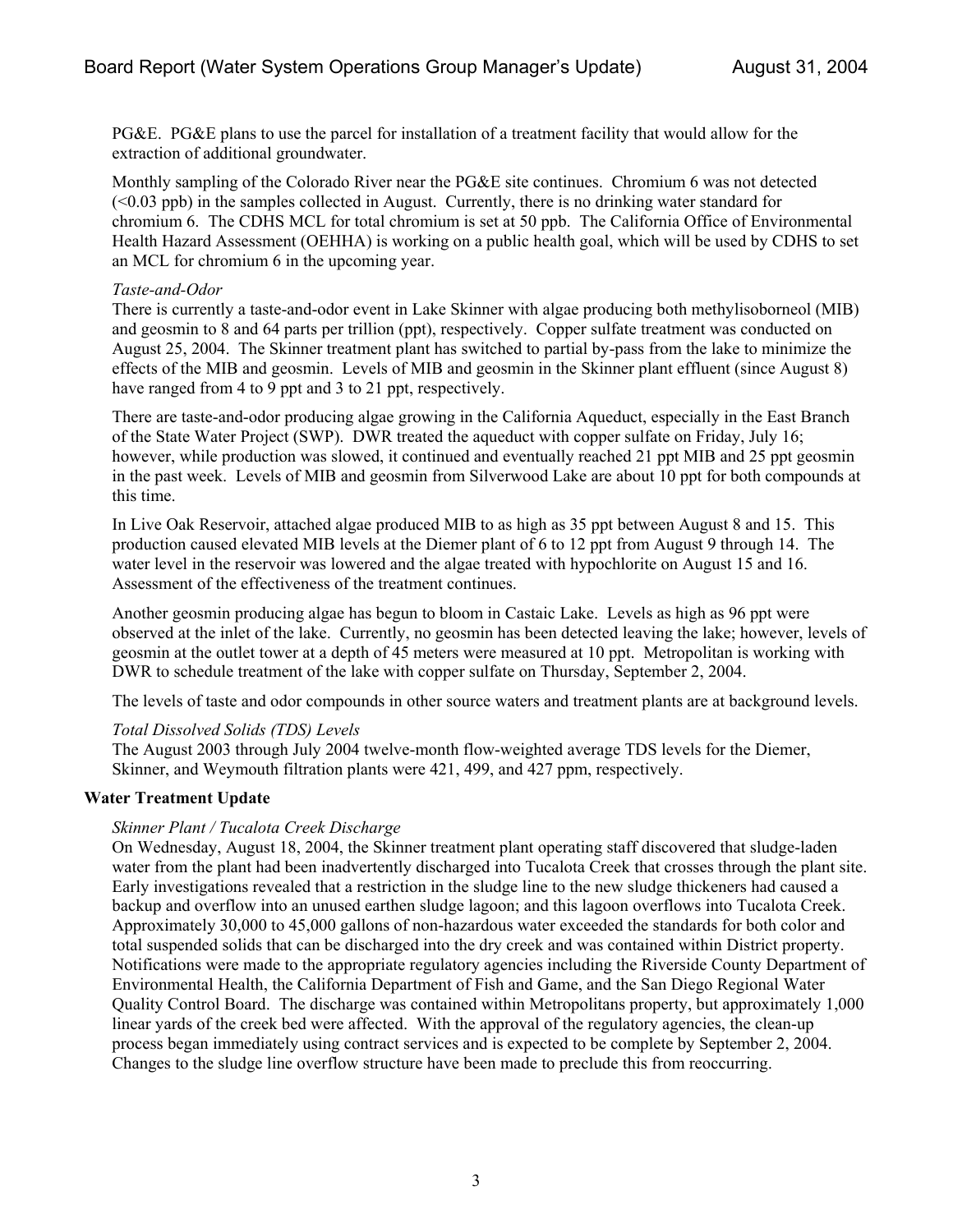PG&E. PG&E plans to use the parcel for installation of a treatment facility that would allow for the extraction of additional groundwater.

Monthly sampling of the Colorado River near the PG&E site continues. Chromium 6 was not detected (<0.03 ppb) in the samples collected in August. Currently, there is no drinking water standard for chromium 6. The CDHS MCL for total chromium is set at 50 ppb. The California Office of Environmental Health Hazard Assessment (OEHHA) is working on a public health goal, which will be used by CDHS to set an MCL for chromium 6 in the upcoming year.

### *Taste-and-Odor*

There is currently a taste-and-odor event in Lake Skinner with algae producing both methylisoborneol (MIB) and geosmin to 8 and 64 parts per trillion (ppt), respectively. Copper sulfate treatment was conducted on August 25, 2004. The Skinner treatment plant has switched to partial by-pass from the lake to minimize the effects of the MIB and geosmin. Levels of MIB and geosmin in the Skinner plant effluent (since August 8) have ranged from 4 to 9 ppt and 3 to 21 ppt, respectively.

There are taste-and-odor producing algae growing in the California Aqueduct, especially in the East Branch of the State Water Project (SWP). DWR treated the aqueduct with copper sulfate on Friday, July 16; however, while production was slowed, it continued and eventually reached 21 ppt MIB and 25 ppt geosmin in the past week. Levels of MIB and geosmin from Silverwood Lake are about 10 ppt for both compounds at this time.

In Live Oak Reservoir, attached algae produced MIB to as high as 35 ppt between August 8 and 15. This production caused elevated MIB levels at the Diemer plant of 6 to 12 ppt from August 9 through 14. The water level in the reservoir was lowered and the algae treated with hypochlorite on August 15 and 16. Assessment of the effectiveness of the treatment continues.

Another geosmin producing algae has begun to bloom in Castaic Lake. Levels as high as 96 ppt were observed at the inlet of the lake. Currently, no geosmin has been detected leaving the lake; however, levels of geosmin at the outlet tower at a depth of 45 meters were measured at 10 ppt. Metropolitan is working with DWR to schedule treatment of the lake with copper sulfate on Thursday, September 2, 2004.

The levels of taste and odor compounds in other source waters and treatment plants are at background levels.

#### *Total Dissolved Solids (TDS) Levels*

The August 2003 through July 2004 twelve-month flow-weighted average TDS levels for the Diemer, Skinner, and Weymouth filtration plants were 421, 499, and 427 ppm, respectively.

# **Water Treatment Update**

# *Skinner Plant / Tucalota Creek Discharge*

On Wednesday, August 18, 2004, the Skinner treatment plant operating staff discovered that sludge-laden water from the plant had been inadvertently discharged into Tucalota Creek that crosses through the plant site. Early investigations revealed that a restriction in the sludge line to the new sludge thickeners had caused a backup and overflow into an unused earthen sludge lagoon; and this lagoon overflows into Tucalota Creek. Approximately 30,000 to 45,000 gallons of non-hazardous water exceeded the standards for both color and total suspended solids that can be discharged into the dry creek and was contained within District property. Notifications were made to the appropriate regulatory agencies including the Riverside County Department of Environmental Health, the California Department of Fish and Game, and the San Diego Regional Water Quality Control Board. The discharge was contained within Metropolitans property, but approximately 1,000 linear yards of the creek bed were affected. With the approval of the regulatory agencies, the clean-up process began immediately using contract services and is expected to be complete by September 2, 2004. Changes to the sludge line overflow structure have been made to preclude this from reoccurring.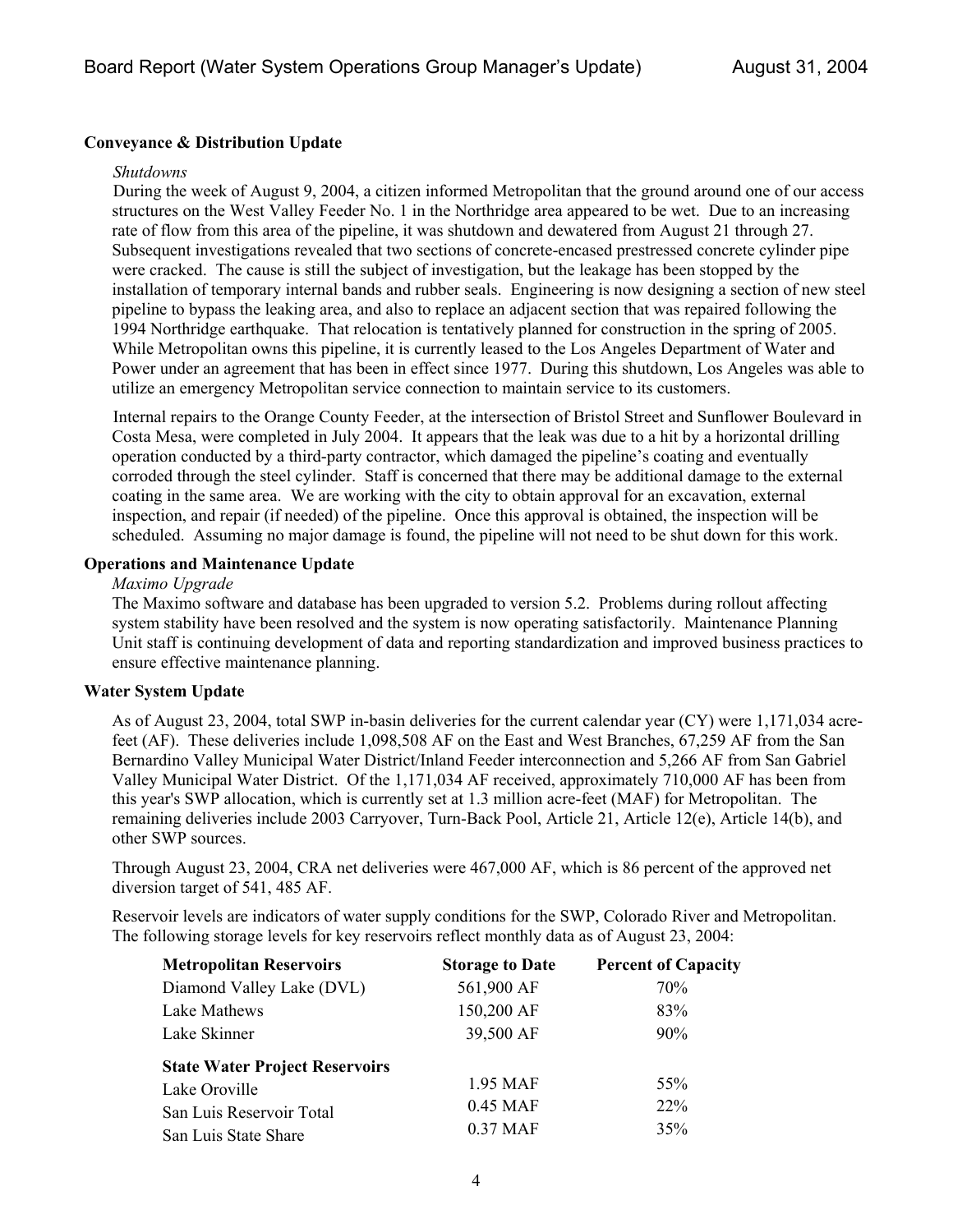# **Conveyance & Distribution Update**

#### *Shutdowns*

During the week of August 9, 2004, a citizen informed Metropolitan that the ground around one of our access structures on the West Valley Feeder No. 1 in the Northridge area appeared to be wet. Due to an increasing rate of flow from this area of the pipeline, it was shutdown and dewatered from August 21 through 27. Subsequent investigations revealed that two sections of concrete-encased prestressed concrete cylinder pipe were cracked. The cause is still the subject of investigation, but the leakage has been stopped by the installation of temporary internal bands and rubber seals. Engineering is now designing a section of new steel pipeline to bypass the leaking area, and also to replace an adjacent section that was repaired following the 1994 Northridge earthquake. That relocation is tentatively planned for construction in the spring of 2005. While Metropolitan owns this pipeline, it is currently leased to the Los Angeles Department of Water and Power under an agreement that has been in effect since 1977. During this shutdown, Los Angeles was able to utilize an emergency Metropolitan service connection to maintain service to its customers.

Internal repairs to the Orange County Feeder, at the intersection of Bristol Street and Sunflower Boulevard in Costa Mesa, were completed in July 2004. It appears that the leak was due to a hit by a horizontal drilling operation conducted by a third-party contractor, which damaged the pipeline's coating and eventually corroded through the steel cylinder. Staff is concerned that there may be additional damage to the external coating in the same area. We are working with the city to obtain approval for an excavation, external inspection, and repair (if needed) of the pipeline. Once this approval is obtained, the inspection will be scheduled. Assuming no major damage is found, the pipeline will not need to be shut down for this work.

### **Operations and Maintenance Update**

#### *Maximo Upgrade*

The Maximo software and database has been upgraded to version 5.2. Problems during rollout affecting system stability have been resolved and the system is now operating satisfactorily. Maintenance Planning Unit staff is continuing development of data and reporting standardization and improved business practices to ensure effective maintenance planning.

#### **Water System Update**

As of August 23, 2004, total SWP in-basin deliveries for the current calendar year (CY) were 1,171,034 acrefeet (AF). These deliveries include 1,098,508 AF on the East and West Branches, 67,259 AF from the San Bernardino Valley Municipal Water District/Inland Feeder interconnection and 5,266 AF from San Gabriel Valley Municipal Water District. Of the 1,171,034 AF received, approximately 710,000 AF has been from this year's SWP allocation, which is currently set at 1.3 million acre-feet (MAF) for Metropolitan. The remaining deliveries include 2003 Carryover, Turn-Back Pool, Article 21, Article 12(e), Article 14(b), and other SWP sources.

Through August 23, 2004, CRA net deliveries were 467,000 AF, which is 86 percent of the approved net diversion target of 541, 485 AF.

Reservoir levels are indicators of water supply conditions for the SWP, Colorado River and Metropolitan. The following storage levels for key reservoirs reflect monthly data as of August 23, 2004:

| <b>Metropolitan Reservoirs</b>        | <b>Storage to Date</b> | <b>Percent of Capacity</b> |  |
|---------------------------------------|------------------------|----------------------------|--|
| Diamond Valley Lake (DVL)             | 561,900 AF             | 70%                        |  |
| Lake Mathews                          | 150,200 AF             | 83%                        |  |
| Lake Skinner                          | 39,500 AF              | $90\%$                     |  |
| <b>State Water Project Reservoirs</b> |                        |                            |  |
| Lake Oroville                         | 1.95 MAF               | 55%                        |  |
| San Luis Reservoir Total              | 0.45 MAF               | <b>22%</b>                 |  |
| San Luis State Share                  | 0.37 MAF               | 35%                        |  |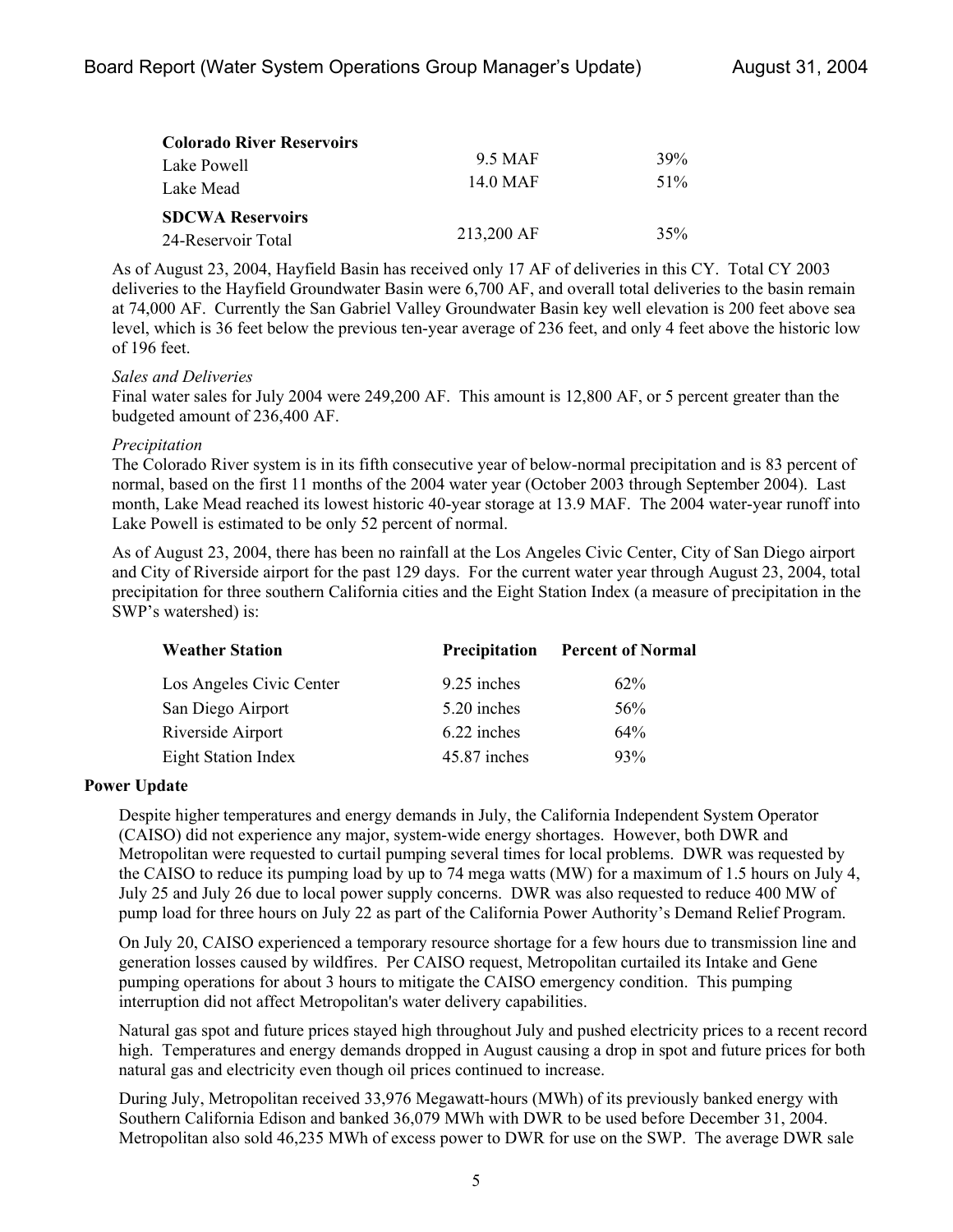| <b>Colorado River Reservoirs</b> |            |     |
|----------------------------------|------------|-----|
| Lake Powell                      | 9.5 MAF    | 39% |
| Lake Mead                        | 14.0 MAF   | 51% |
| <b>SDCWA Reservoirs</b>          |            |     |
| 24-Reservoir Total               | 213,200 AF | 35% |

As of August 23, 2004, Hayfield Basin has received only 17 AF of deliveries in this CY. Total CY 2003 deliveries to the Hayfield Groundwater Basin were 6,700 AF, and overall total deliveries to the basin remain at 74,000 AF. Currently the San Gabriel Valley Groundwater Basin key well elevation is 200 feet above sea level, which is 36 feet below the previous ten-year average of 236 feet, and only 4 feet above the historic low of 196 feet.

#### *Sales and Deliveries*

Final water sales for July 2004 were 249,200 AF. This amount is 12,800 AF, or 5 percent greater than the budgeted amount of 236,400 AF.

#### *Precipitation*

The Colorado River system is in its fifth consecutive year of below-normal precipitation and is 83 percent of normal, based on the first 11 months of the 2004 water year (October 2003 through September 2004). Last month, Lake Mead reached its lowest historic 40-year storage at 13.9 MAF. The 2004 water-year runoff into Lake Powell is estimated to be only 52 percent of normal.

As of August 23, 2004, there has been no rainfall at the Los Angeles Civic Center, City of San Diego airport and City of Riverside airport for the past 129 days. For the current water year through August 23, 2004, total precipitation for three southern California cities and the Eight Station Index (a measure of precipitation in the SWP's watershed) is:

| <b>Weather Station</b>     | <b>Precipitation</b> | <b>Percent of Normal</b> |  |
|----------------------------|----------------------|--------------------------|--|
| Los Angeles Civic Center   | 9.25 inches          | $62\%$                   |  |
| San Diego Airport          | 5.20 inches          | 56%                      |  |
| Riverside Airport          | 6.22 inches          | 64%                      |  |
| <b>Eight Station Index</b> | 45.87 inches         | 93%                      |  |

#### **Power Update**

Despite higher temperatures and energy demands in July, the California Independent System Operator (CAISO) did not experience any major, system-wide energy shortages. However, both DWR and Metropolitan were requested to curtail pumping several times for local problems. DWR was requested by the CAISO to reduce its pumping load by up to 74 mega watts (MW) for a maximum of 1.5 hours on July 4, July 25 and July 26 due to local power supply concerns. DWR was also requested to reduce 400 MW of pump load for three hours on July 22 as part of the California Power Authority's Demand Relief Program.

On July 20, CAISO experienced a temporary resource shortage for a few hours due to transmission line and generation losses caused by wildfires. Per CAISO request, Metropolitan curtailed its Intake and Gene pumping operations for about 3 hours to mitigate the CAISO emergency condition. This pumping interruption did not affect Metropolitan's water delivery capabilities.

Natural gas spot and future prices stayed high throughout July and pushed electricity prices to a recent record high. Temperatures and energy demands dropped in August causing a drop in spot and future prices for both natural gas and electricity even though oil prices continued to increase.

During July, Metropolitan received 33,976 Megawatt-hours (MWh) of its previously banked energy with Southern California Edison and banked 36,079 MWh with DWR to be used before December 31, 2004. Metropolitan also sold 46,235 MWh of excess power to DWR for use on the SWP. The average DWR sale